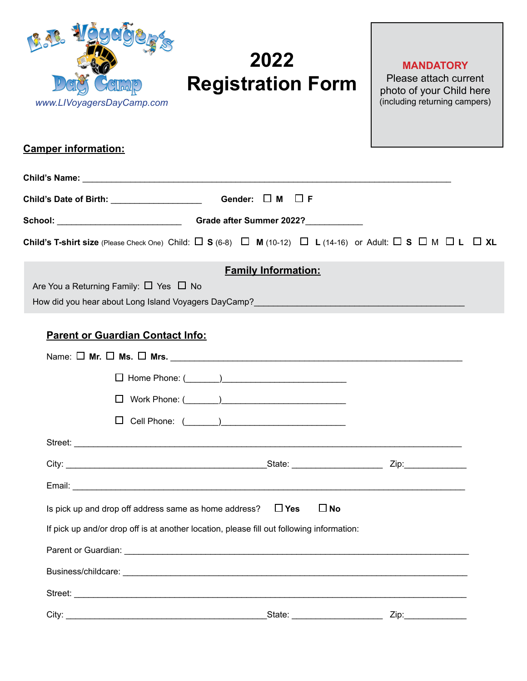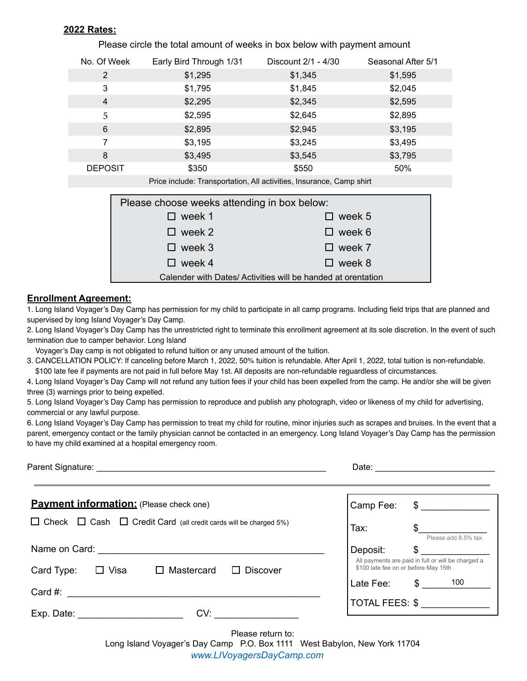### **2022 Rates:**

| No. Of Week                                                          | Early Bird Through 1/31 | Discount 2/1 - 4/30 | Seasonal After 5/1 |  |
|----------------------------------------------------------------------|-------------------------|---------------------|--------------------|--|
| $\mathbf{2}^{\prime}$                                                | \$1,295                 | \$1,345             | \$1,595            |  |
| 3                                                                    | \$1,795                 | \$1,845             | \$2,045            |  |
| 4                                                                    | \$2,295                 | \$2,345             | \$2,595            |  |
| 5                                                                    | \$2,595                 | \$2,645             | \$2,895            |  |
| 6                                                                    | \$2,895                 | \$2,945             | \$3,195            |  |
| 7                                                                    | \$3,195                 | \$3,245             | \$3,495            |  |
| 8                                                                    | \$3,495                 | \$3,545             | \$3,795            |  |
| <b>DEPOSIT</b>                                                       | \$350                   | \$550               | 50%                |  |
| Price include: Transportation, All activities, Insurance, Camp shirt |                         |                     |                    |  |
| Please choose weeks attending in box below:                          |                         |                     |                    |  |
|                                                                      |                         |                     |                    |  |
|                                                                      | week 1                  | week 5              |                    |  |

Please circle the total amount of weeks in box below with payment amount

Calender with Dates/ Activities will be handed at orentation week 1  $\square$  week 2  $\Box$  week 3  $\Box$  week 4 week 5  $\square$  week 6  $\Box$  week 7  $\Box$  week 8

### **Enrollment Agreement:**

1. Long Island Voyager's Day Camp has permission for my child to participate in all camp programs. Including field trips that are planned and supervised by long Island Voyager's Day Camp.

2. Long Island Voyager's Day Camp has the unrestricted right to terminate this enrollment agreement at its sole discretion. In the event of such termination due to camper behavior. Long Island

Voyager's Day camp is not obligated to refund tuition or any unused amount of the tuition.

3. CANCELLATION POLICY: If canceling before March 1, 2022, 50% tuition is refundable. After April 1, 2022, total tuition is non-refundable. \$100 late fee if payments are not paid in full before May 1st. All deposits are non-refundable reguardless of circumstances.

4. Long Island Voyager's Day Camp will not refund any tuition fees if your child has been expelled from the camp. He and/or she will be given three (3) warnings prior to being expelled.

5. Long Island Voyager's Day Camp has permission to reproduce and publish any photograph, video or likeness of my child for advertising, commercial or any lawful purpose.

6. Long Island Voyager's Day Camp has permission to treat my child for routine, minor injuries such as scrapes and bruises. In the event that a parent, emergency contact or the family physician cannot be contacted in an emergency. Long Island Voyager's Day Camp has the permission to have my child examined at a hospital emergency room.

|                                                                                   | Date:<br><u> 1980 - Jan Samuel Barbara, martin d</u>                                       |  |
|-----------------------------------------------------------------------------------|--------------------------------------------------------------------------------------------|--|
| <b>Payment information:</b> (Please check one)                                    | Camp Fee:<br>$\frac{1}{2}$                                                                 |  |
| $\Box$ Check $\Box$ Cash $\Box$ Credit Card (all credit cards will be charged 5%) | $\frac{1}{2}$<br>Tax:<br>Please add 8.5% tax                                               |  |
|                                                                                   | $\frac{1}{2}$<br>Deposit:                                                                  |  |
| $\Box$ Visa<br>Mastercard<br><b>Discover</b><br>Card Type:<br>$\Box$              | All payments are paid in full or will be charged a<br>\$100 late fee on or before May 15th |  |
| Card #:                                                                           | $\frac{100}{100}$<br>Late Fee:                                                             |  |
|                                                                                   | TOTAL FEES: \$                                                                             |  |
| CV:<br>Exp. Date: $\frac{1}{2}$                                                   |                                                                                            |  |

Please return to:

Long Island Voyager's Day Camp P.O. Box 1111 West Babylon, New York 11704

*www.LIVoyagersDayCamp.com*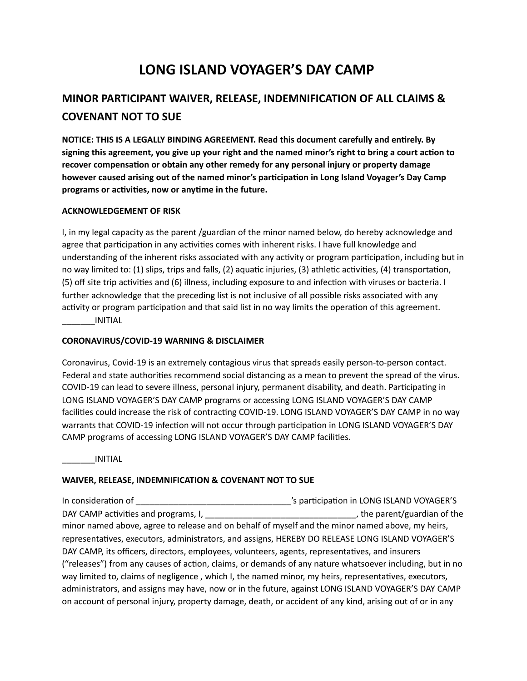# **LONG ISLAND VOYAGER'S DAY CAMP**

# **MINOR PARTICIPANT WAIVER, RELEASE, INDEMNIFICATION OF ALL CLAIMS & COVENANT NOT TO SUE**

**NOTICE: THIS IS A LEGALLY BINDING AGREEMENT. Read this document carefully and entirely. By** signing this agreement, you give up your right and the named minor's right to bring a court action to recover compensation or obtain any other remedy for any personal injury or property damage however caused arising out of the named minor's participation in Long Island Voyager's Day Camp programs or activities, now or anytime in the future.

### **ACKNOWLEDGEMENT OF RISK**

I, in my legal capacity as the parent /guardian of the minor named below, do hereby acknowledge and agree that participation in any activities comes with inherent risks. I have full knowledge and understanding of the inherent risks associated with any activity or program participation, including but in no way limited to: (1) slips, trips and falls, (2) aquatic injuries, (3) athletic activities, (4) transportation, (5) off site trip activities and (6) illness, including exposure to and infection with viruses or bacteria. I further acknowledge that the preceding list is not inclusive of all possible risks associated with any activity or program participation and that said list in no way limits the operation of this agreement. \_\_\_\_\_\_\_INITIAL

### **CORONAVIRUS/COVID-19 WARNING & DISCLAIMER**

Coronavirus, Covid-19 is an extremely contagious virus that spreads easily person-to-person contact. Federal and state authorities recommend social distancing as a mean to prevent the spread of the virus. COVID-19 can lead to severe illness, personal injury, permanent disability, and death. Participating in LONG ISLAND VOYAGER'S DAY CAMP programs or accessing LONG ISLAND VOYAGER'S DAY CAMP facilities could increase the risk of contracting COVID-19. LONG ISLAND VOYAGER'S DAY CAMP in no way warrants that COVID-19 infection will not occur through participation in LONG ISLAND VOYAGER'S DAY CAMP programs of accessing LONG ISLAND VOYAGER'S DAY CAMP facilities.

\_\_\_\_\_\_\_INITIAL

## **WAIVER, RELEASE, INDEMNIFICATION & COVENANT NOT TO SUE**

In considera:on of \_\_\_\_\_\_\_\_\_\_\_\_\_\_\_\_\_\_\_\_\_\_\_\_\_\_\_\_\_\_\_\_\_'s par:cipa:on in LONG ISLAND VOYAGER'S DAY CAMP ac:vi:es and programs, I, \_\_\_\_\_\_\_\_\_\_\_\_\_\_\_\_\_\_\_\_\_\_\_\_\_\_\_\_\_\_\_\_, the parent/guardian of the minor named above, agree to release and on behalf of myself and the minor named above, my heirs, representatives, executors, administrators, and assigns, HEREBY DO RELEASE LONG ISLAND VOYAGER'S DAY CAMP, its officers, directors, employees, volunteers, agents, representatives, and insurers ("releases") from any causes of action, claims, or demands of any nature whatsoever including, but in no way limited to, claims of negligence, which I, the named minor, my heirs, representatives, executors, administrators, and assigns may have, now or in the future, against LONG ISLAND VOYAGER'S DAY CAMP on account of personal injury, property damage, death, or accident of any kind, arising out of or in any